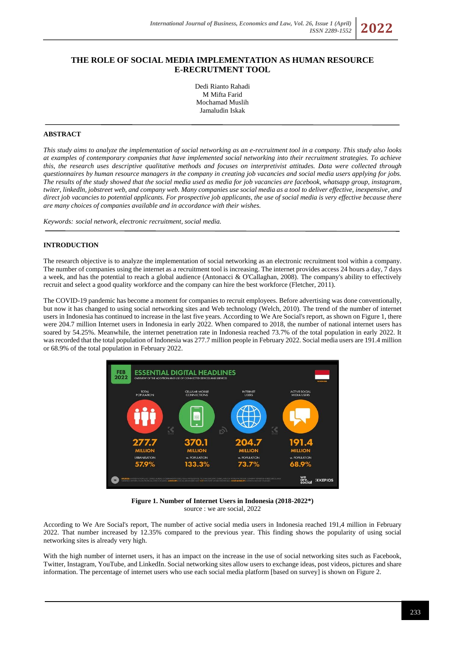# **THE ROLE OF SOCIAL MEDIA IMPLEMENTATION AS HUMAN RESOURCE E-RECRUTMENT TOOL**

Dedi Rianto Rahadi M Mifta Farid Mochamad Muslih Jamaludin Iskak

# **ABSTRACT**

*This study aims to analyze the implementation of social networking as an e-recruitment tool in a company. This study also looks at examples of contemporary companies that have implemented social networking into their recruitment strategies. To achieve this, the research uses descriptive qualitative methods and focuses on interpretivist attitudes. Data were collected through questionnaires by human resource managers in the company in creating job vacancies and social media users applying for jobs. The results of the study showed that the social media used as media for job vacancies are facebook, whatsapp group, instagram, twiter, linkedln, jobstreet web, and company web. Many companies use social media as a tool to deliver effective, inexpensive, and direct job vacancies to potential applicants. For prospective job applicants, the use of social media is very effective because there are many choices of companies available and in accordance with their wishes.*

*Keywords: social network, electronic recruitment, social media.*

### **INTRODUCTION**

The research objective is to analyze the implementation of social networking as an electronic recruitment tool within a company. The number of companies using the internet as a recruitment tool is increasing. The internet provides access 24 hours a day, 7 days a week, and has the potential to reach a global audience (Antonacci & O'Callaghan, 2008). The company's ability to effectively recruit and select a good quality workforce and the company can hire the best workforce (Fletcher, 2011).

The COVID-19 pandemic has become a moment for companies to recruit employees. Before advertising was done conventionally, but now it has changed to using social networking sites and Web technology (Welch, 2010). The trend of the number of internet users in Indonesia has continued to increase in the last five years. According to We Are Social's report, as shown on Figure 1, there were 204.7 million Internet users in Indonesia in early 2022. When compared to 2018, the number of national internet users has soared by 54.25%. Meanwhile, the internet penetration rate in Indonesia reached 73.7% of the total population in early 2022. It was recorded that the total population of Indonesia was 277.7 million people in February 2022. Social media users are 191.4 million or 68.9% of the total population in February 2022.



**Figure 1. Number of Internet Users in Indonesia (2018-2022\*)** source : we are social, 2022

According to We Are Social's report, The number of active social media users in Indonesia reached 191,4 million in February 2022. That number increased by 12.35% compared to the previous year. This finding shows the popularity of using social networking sites is already very high.

With the high number of internet users, it has an impact on the increase in the use of social networking sites such as Facebook, Twitter, Instagram, YouTube, and LinkedIn. Social networking sites allow users to exchange ideas, post videos, pictures and share information. The percentage of internet users who use each social media platform [based on survey] is shown on Figure 2.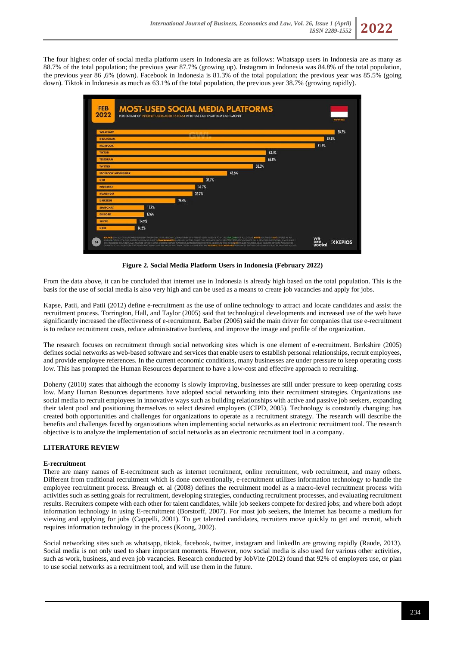The four highest order of social media platform users in Indonesia are as follows: Whatsapp users in Indonesia are as many as 88.7% of the total population; the previous year 87.7% (growing up). Instagram in Indonesia was 84.8% of the total population, the previous year 86 ,6% (down). Facebook in Indonesia is 81.3% of the total population; the previous year was 85.5% (going down). Tiktok in Indonesia as much as 63.1% of the total population, the previous year 38.7% (growing rapidly).



**Figure 2. Social Media Platform Users in Indonesia (February 2022)**

From the data above, it can be concluded that internet use in Indonesia is already high based on the total population. This is the basis for the use of social media is also very high and can be used as a means to create job vacancies and apply for jobs.

Kapse, Patii, and Patii (2012) define e-recruitment as the use of online technology to attract and locate candidates and assist the recruitment process. Torrington, Hall, and Taylor (2005) said that technological developments and increased use of the web have significantly increased the effectiveness of e-recruitment. Barber (2006) said the main driver for companies that use e-recruitment is to reduce recruitment costs, reduce administrative burdens, and improve the image and profile of the organization.

The research focuses on recruitment through social networking sites which is one element of e-recruitment. Berkshire (2005) defines social networks as web-based software and services that enable users to establish personal relationships, recruit employees, and provide employee references. In the current economic conditions, many businesses are under pressure to keep operating costs low. This has prompted the Human Resources department to have a low-cost and effective approach to recruiting.

Doherty (2010) states that although the economy is slowly improving, businesses are still under pressure to keep operating costs low. Many Human Resources departments have adopted social networking into their recruitment strategies. Organizations use social media to recruit employees in innovative ways such as building relationships with active and passive job seekers, expanding their talent pool and positioning themselves to select desired employers (CIPD, 2005). Technology is constantly changing; has created both opportunities and challenges for organizations to operate as a recruitment strategy. The research will describe the benefits and challenges faced by organizations when implementing social networks as an electronic recruitment tool. The research objective is to analyze the implementation of social networks as an electronic recruitment tool in a company.

# **LITERATURE REVIEW**

#### **E-recruitment**

There are many names of E-recruitment such as internet recruitment, online recruitment, web recruitment, and many others. Different from traditional recruitment which is done conventionally, e-recruitment utilizes information technology to handle the employee recruitment process. Breaugh et. al (2008) defines the recruitment model as a macro-level recruitment process with activities such as setting goals for recruitment, developing strategies, conducting recruitment processes, and evaluating recruitment results. Recruiters compete with each other for talent candidates, while job seekers compete for desired jobs; and where both adopt information technology in using E-recruitment (Borstorff, 2007). For most job seekers, the Internet has become a medium for viewing and applying for jobs (Cappelli, 2001). To get talented candidates, recruiters move quickly to get and recruit, which requires information technology in the process (Koong, 2002).

Social networking sites such as whatsapp, tiktok, facebook, twitter, instagram and linkedIn are growing rapidly (Raude, 2013). Social media is not only used to share important moments. However, now social media is also used for various other activities, such as work, business, and even job vacancies. Research conducted by JobVite (2012) found that 92% of employers use, or plan to use social networks as a recruitment tool, and will use them in the future.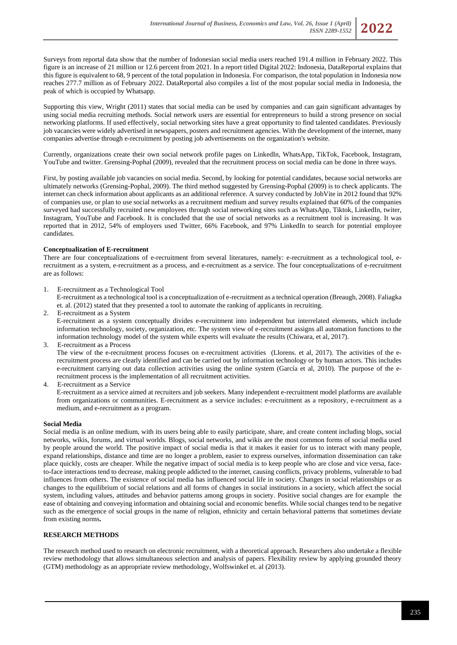

Supporting this view, Wright (2011) states that social media can be used by companies and can gain significant advantages by using social media recruiting methods. Social network users are essential for entrepreneurs to build a strong presence on social networking platforms. If used effectively, social networking sites have a great opportunity to find talented candidates. Previously job vacancies were widely advertised in newspapers, posters and recruitment agencies. With the development of the internet, many companies advertise through e-recruitment by posting job advertisements on the organization's website.

Currently, organizations create their own social network profile pages on LinkedIn, WhatsApp, TikTok, Facebook, Instagram, YouTube and twitter. Grensing-Pophal (2009), revealed that the recruitment process on social media can be done in three ways.

First, by posting available job vacancies on social media. Second, by looking for potential candidates, because social networks are ultimately networks (Grensing-Pophal, 2009). The third method suggested by Grensing-Pophal (2009) is to check applicants. The internet can check information about applicants as an additional reference. A survey conducted by JobVite in 2012 found that 92% of companies use, or plan to use social networks as a recruitment medium and survey results explained that 60% of the companies surveyed had successfully recruited new employees through social networking sites such as WhatsApp, Tiktok, LinkedIn, twiter, Instagram, YouTube and Facebook. It is concluded that the use of social networks as a recruitment tool is increasing. It was reported that in 2012, 54% of employers used Twitter, 66% Facebook, and 97% LinkedIn to search for potential employee candidates.

### **Conceptualization of E-recruitment**

There are four conceptualizations of e-recruitment from several literatures, namely: e-recruitment as a technological tool, erecruitment as a system, e-recruitment as a process, and e-recruitment as a service. The four conceptualizations of e-recruitment are as follows:

1. E-recruitment as a Technological Tool

E-recruitment as a technological tool is a conceptualization of e-recruitment as a technical operation (Breaugh, 2008). Faliagka et. al. (2012) stated that they presented a tool to automate the ranking of applicants in recruiting.

2. E-recruitment as a System E-recruitment as a system conceptually divides e-recruitment into independent but interrelated elements, which include information technology, society, organization, etc. The system view of e-recruitment assigns all automation functions to the information technology model of the system while experts will evaluate the results (Chiwara, et al, 2017).

3. E-recruitment as a Process

The view of the e-recruitment process focuses on e-recruitment activities (Llorens. et al, 2017). The activities of the erecruitment process are clearly identified and can be carried out by information technology or by human actors. This includes e-recruitment carrying out data collection activities using the online system (García et al, 2010). The purpose of the erecruitment process is the implementation of all recruitment activities.

4. E-recruitment as a Service

E-recruitment as a service aimed at recruiters and job seekers. Many independent e-recruitment model platforms are available from organizations or communities. E-recruitment as a service includes: e-recruitment as a repository, e-recruitment as a medium, and e-recruitment as a program.

### **Social Media**

Social media is an online medium, with its users being able to easily participate, share, and create content including blogs, social networks, wikis, forums, and virtual worlds. Blogs, social networks, and wikis are the most common forms of social media used by people around the world. The positive impact of social media is that it makes it easier for us to interact with many people, expand relationships, distance and time are no longer a problem, easier to express ourselves, information dissemination can take place quickly, costs are cheaper. While the negative impact of social media is to keep people who are close and vice versa, faceto-face interactions tend to decrease, making people addicted to the internet, causing conflicts, privacy problems, vulnerable to bad influences from others. The existence of social media has influenced social life in society. Changes in social relationships or as changes to the equilibrium of social relations and all forms of changes in social institutions in a society, which affect the social system, including values, attitudes and behavior patterns among groups in society. Positive social changes are for example the ease of obtaining and conveying information and obtaining social and economic benefits. While social changes tend to be negative such as the emergence of social groups in the name of religion, ethnicity and certain behavioral patterns that sometimes deviate from existing norms**.**

### **RESEARCH METHODS**

The research method used to research on electronic recruitment, with a theoretical approach. Researchers also undertake a flexible review methodology that allows simultaneous selection and analysis of papers. Flexibility review by applying grounded theory (GTM) methodology as an appropriate review methodology, Wolfswinkel et. al (2013).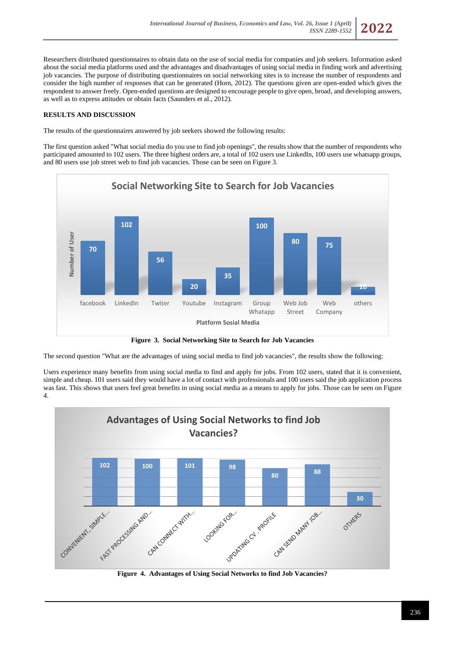Researchers distributed questionnaires to obtain data on the use of social media for companies and job seekers. Information asked about the social media platforms used and the advantages and disadvantages of using social media in finding work and advertising job vacancies. The purpose of distributing questionnaires on social networking sites is to increase the number of respondents and consider the high number of responses that can be generated (Horn, 2012). The questions given are open-ended which gives the respondent to answer freely. Open-ended questions are designed to encourage people to give open, broad, and developing answers, as well as to express attitudes or obtain facts (Saunders et al., 2012).

# **RESULTS AND DISCUSSION**

The results of the questionnaires answered by job seekers showed the following results:

The first question asked "What social media do you use to find job openings", the results show that the number of respondents who participated amounted to 102 users. The three highest orders are, a total of 102 users use LinkedIn, 100 users use whatsapp groups, and 80 users use job street web to find job vacancies. Those can be seen on Figure 3.



**Figure 3. Social Networking Site to Search for Job Vacancies**

The second question "What are the advantages of using social media to find job vacancies", the results show the following:

Users experience many benefits from using social media to find and apply for jobs. From 102 users, stated that it is convenient, simple and cheap. 101 users said they would have a lot of contact with professionals and 100 users said the job application process was fast. This shows that users feel great benefits in using social media as a means to apply for jobs. Those can be seen on Figure 4.



**Figure 4. Advantages of Using Social Networks to find Job Vacancies?**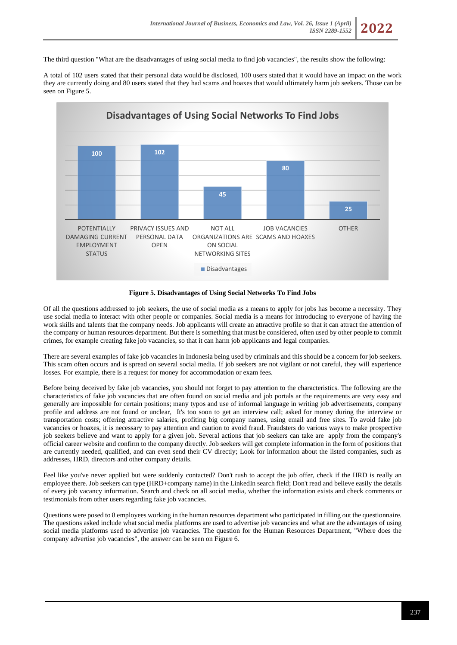The third question "What are the disadvantages of using social media to find job vacancies", the results show the following:

A total of 102 users stated that their personal data would be disclosed, 100 users stated that it would have an impact on the work they are currently doing and 80 users stated that they had scams and hoaxes that would ultimately harm job seekers. Those can be seen on Figure 5.



#### **Figure 5. Disadvantages of Using Social Networks To Find Jobs**

Of all the questions addressed to job seekers, the use of social media as a means to apply for jobs has become a necessity. They use social media to interact with other people or companies. Social media is a means for introducing to everyone of having the work skills and talents that the company needs. Job applicants will create an attractive profile so that it can attract the attention of the company or human resources department. But there is something that must be considered, often used by other people to commit crimes, for example creating fake job vacancies, so that it can harm job applicants and legal companies.

There are several examples of fake job vacancies in Indonesia being used by criminals and this should be a concern for job seekers. This scam often occurs and is spread on several social media. If job seekers are not vigilant or not careful, they will experience losses. For example, there is a request for money for accommodation or exam fees.

Before being deceived by fake job vacancies, you should not forget to pay attention to the characteristics. The following are the characteristics of fake job vacancies that are often found on social media and job portals ar the requirements are very easy and generally are impossible for certain positions; many typos and use of informal language in writing job advertisements, company profile and address are not found or unclear, It's too soon to get an interview call; asked for money during the interview or transportation costs; offering attractive salaries, profiting big company names, using email and free sites. To avoid fake job vacancies or hoaxes, it is necessary to pay attention and caution to avoid fraud. Fraudsters do various ways to make prospective job seekers believe and want to apply for a given job. Several actions that job seekers can take are apply from the company's official career website and confirm to the company directly. Job seekers will get complete information in the form of positions that are currently needed, qualified, and can even send their CV directly; Look for information about the listed companies, such as addresses, HRD, directors and other company details.

Feel like you've never applied but were suddenly contacted? Don't rush to accept the job offer, check if the HRD is really an employee there. Job seekers can type (HRD+company name) in the LinkedIn search field; Don't read and believe easily the details of every job vacancy information. Search and check on all social media, whether the information exists and check comments or testimonials from other users regarding fake job vacancies.

Questions were posed to 8 employees working in the human resources department who participated in filling out the questionnaire. The questions asked include what social media platforms are used to advertise job vacancies and what are the advantages of using social media platforms used to advertise job vacancies. The question for the Human Resources Department, "Where does the company advertise job vacancies", the answer can be seen on Figure 6.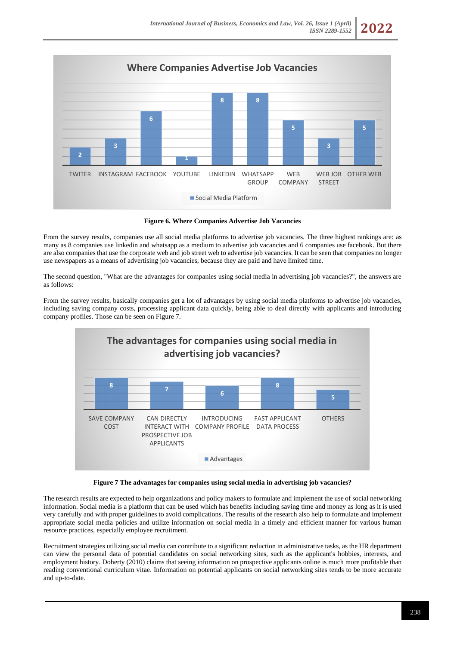

**Figure 6. Where Companies Advertise Job Vacancies**

From the survey results, companies use all social media platforms to advertise job vacancies. The three highest rankings are: as many as 8 companies use linkedin and whatsapp as a medium to advertise job vacancies and 6 companies use facebook. But there are also companies that use the corporate web and job street web to advertise job vacancies. It can be seen that companies no longer use newspapers as a means of advertising job vacancies, because they are paid and have limited time.

The second question, "What are the advantages for companies using social media in advertising job vacancies?", the answers are as follows:

From the survey results, basically companies get a lot of advantages by using social media platforms to advertise job vacancies, including saving company costs, processing applicant data quickly, being able to deal directly with applicants and introducing company profiles. Those can be seen on Figure 7.



**Figure 7 The advantages for companies using social media in advertising job vacancies?**

The research results are expected to help organizations and policy makers to formulate and implement the use of social networking information. Social media is a platform that can be used which has benefits including saving time and money as long as it is used very carefully and with proper guidelines to avoid complications. The results of the research also help to formulate and implement appropriate social media policies and utilize information on social media in a timely and efficient manner for various human resource practices, especially employee recruitment.

Recruitment strategies utilizing social media can contribute to a significant reduction in administrative tasks, as the HR department can view the personal data of potential candidates on social networking sites, such as the applicant's hobbies, interests, and employment history. Doherty (2010) claims that seeing information on prospective applicants online is much more profitable than reading conventional curriculum vitae. Information on potential applicants on social networking sites tends to be more accurate and up-to-date.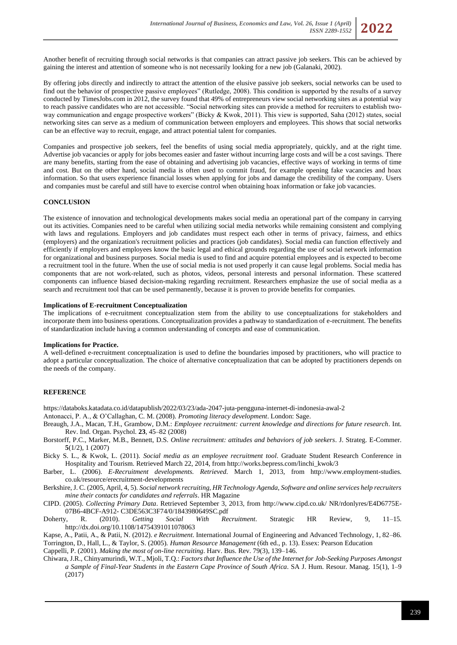Another benefit of recruiting through social networks is that companies can attract passive job seekers. This can be achieved by gaining the interest and attention of someone who is not necessarily looking for a new job (Galanaki, 2002).

By offering jobs directly and indirectly to attract the attention of the elusive passive job seekers, social networks can be used to find out the behavior of prospective passive employees" (Rutledge, 2008). This condition is supported by the results of a survey conducted by TimesJobs.com in 2012, the survey found that 49% of entrepreneurs view social networking sites as a potential way to reach passive candidates who are not accessible. "Social networking sites can provide a method for recruiters to establish twoway communication and engage prospective workers" (Bicky & Kwok, 2011). This view is supported, Saha (2012) states, social networking sites can serve as a medium of communication between employers and employees. This shows that social networks can be an effective way to recruit, engage, and attract potential talent for companies.

Companies and prospective job seekers, feel the benefits of using social media appropriately, quickly, and at the right time. Advertise job vacancies or apply for jobs becomes easier and faster without incurring large costs and will be a cost savings. There are many benefits, starting from the ease of obtaining and advertising job vacancies, effective ways of working in terms of time and cost. But on the other hand, social media is often used to commit fraud, for example opening fake vacancies and hoax information. So that users experience financial losses when applying for jobs and damage the credibility of the company. Users and companies must be careful and still have to exercise control when obtaining hoax information or fake job vacancies.

### **CONCLUSION**

The existence of innovation and technological developments makes social media an operational part of the company in carrying out its activities. Companies need to be careful when utilizing social media networks while remaining consistent and complying with laws and regulations. Employers and job candidates must respect each other in terms of privacy, fairness, and ethics (employers) and the organization's recruitment policies and practices (job candidates). Social media can function effectively and efficiently if employers and employees know the basic legal and ethical grounds regarding the use of social network information for organizational and business purposes. Social media is used to find and acquire potential employees and is expected to become a recruitment tool in the future. When the use of social media is not used properly it can cause legal problems. Social media has components that are not work-related, such as photos, videos, personal interests and personal information. These scattered components can influence biased decision-making regarding recruitment. Researchers emphasize the use of social media as a search and recruitment tool that can be used permanently, because it is proven to provide benefits for companies.

### **Implications of E-recruitment Conceptualization**

The implications of e-recruitment conceptualization stem from the ability to use conceptualizations for stakeholders and incorporate them into business operations. Conceptualization provides a pathway to standardization of e-recruitment. The benefits of standardization include having a common understanding of concepts and ease of communication.

#### **Implications for Practice.**

A well-defined e-recruitment conceptualization is used to define the boundaries imposed by practitioners, who will practice to adopt a particular conceptualization. The choice of alternative conceptualization that can be adopted by practitioners depends on the needs of the company.

### **REFERENCE**

<https://databoks.katadata.co.id/datapublish/2022/03/23/ada-2047-juta-pengguna-internet-di-indonesia-awal-2>

Antonacci, P. A., & O'Callaghan, C. M. (2008). *Promoting literacy development*. London: Sage.

- Breaugh, J.A., Macan, T.H., Grambow, D.M.: *Employee recruitment: current knowledge and directions for future research*. Int. Rev. Ind. Organ. Psychol. **23**, 45–82 (2008)
- Borstorff, P.C., Marker, M.B., Bennett, D.S. *Online recruitment: attitudes and behaviors of job seekers*. J. Strateg. E-Commer. **5**(1/2), 1 (2007)
- Bicky S. L., & Kwok, L. (2011). *Social media as an employee recruitment tool*. Graduate Student Research Conference in Hospitality and Tourism. Retrieved March 22, 2014, from http://works.bepress.com/linchi\_kwok/3
- Barber, L. (2006). *E-Recruitment developments. Retrieved.* March 1, 2013, from http://www.employment-studies. co.uk/resource/erecruitment-developments
- Berkshire, J. C. (2005, April, 4, 5). *Social network recruiting, HR Technology Agenda, Software and online services help recruiters mine their contacts for candidates and referrals*. HR Magazine
- CIPD. (2005). *Collecting Primary Data*. Retrieved September 3, 2013, from http://www.cipd.co.uk/ NR/rdonlyres/E4D6775E-07B6-4BCF-A912- C3DE563C3F74/0/1843980649SC.pdf
- Doherty, R. (2010). *Getting Social With Recruitment*. Strategic HR Review, 9, 11–15. http://dx.doi.org/10.1108/14754391011078063

Kapse, A., Patii, A., & Patii, N. (2012). *e Recruitment*. International Journal of Engineering and Advanced Technology, 1, 82–86. Torrington, D., Hall, L., & Taylor, S. (2005). *Human Resource Management* (6th ed., p. 13). Essex: Pearson Education Cappelli, P. (2001). *Making the most of on-line recruiting*. Harv. Bus. Rev. 79(3), 139–146.

Chiwara, J.R., Chinyamurindi, W.T., Mjoli, T.Q.: *Factors that Influence the Use of the Internet for Job-Seeking Purposes Amongst a Sample of Final-Year Students in the Eastern Cape Province of South Africa*. SA J. Hum. Resour. Manag. 15(1), 1–9 (2017)